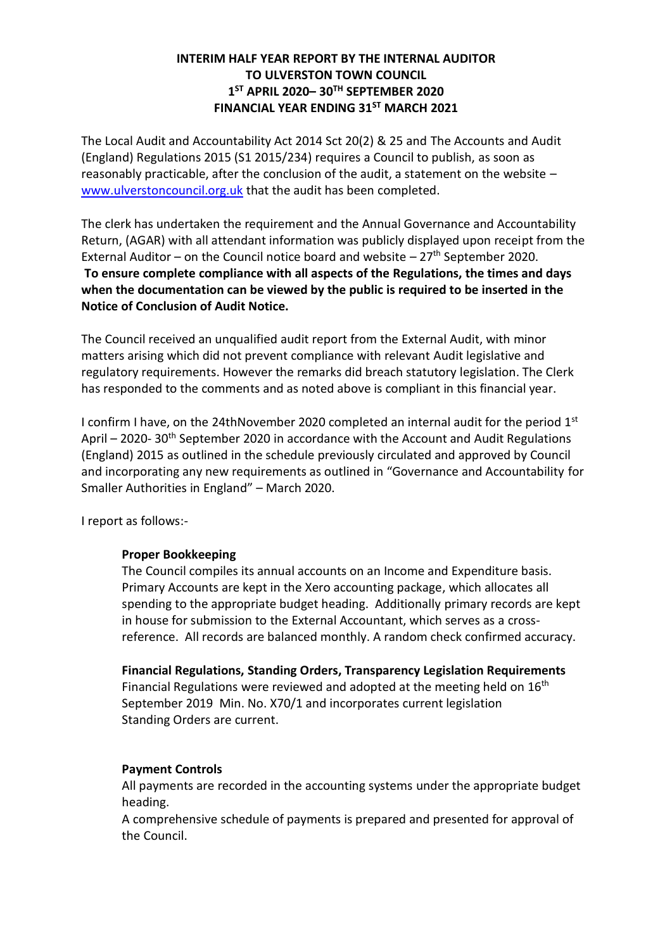# **INTERIM HALF YEAR REPORT BY THE INTERNAL AUDITOR TO ULVERSTON TOWN COUNCIL 1 ST APRIL 2020– 30TH SEPTEMBER 2020 FINANCIAL YEAR ENDING 31ST MARCH 2021**

The Local Audit and Accountability Act 2014 Sct 20(2) & 25 and The Accounts and Audit (England) Regulations 2015 (S1 2015/234) requires a Council to publish, as soon as reasonably practicable, after the conclusion of the audit, a statement on the website – [www.ulverstoncouncil.org.uk](http://www.ulverstoncouncil.org.uk/) that the audit has been completed.

The clerk has undertaken the requirement and the Annual Governance and Accountability Return, (AGAR) with all attendant information was publicly displayed upon receipt from the External Auditor – on the Council notice board and website  $-27<sup>th</sup>$  September 2020. **To ensure complete compliance with all aspects of the Regulations, the times and days when the documentation can be viewed by the public is required to be inserted in the Notice of Conclusion of Audit Notice.**

The Council received an unqualified audit report from the External Audit, with minor matters arising which did not prevent compliance with relevant Audit legislative and regulatory requirements. However the remarks did breach statutory legislation. The Clerk has responded to the comments and as noted above is compliant in this financial year.

I confirm I have, on the 24thNovember 2020 completed an internal audit for the period  $1<sup>st</sup>$ April – 2020-30<sup>th</sup> September 2020 in accordance with the Account and Audit Regulations (England) 2015 as outlined in the schedule previously circulated and approved by Council and incorporating any new requirements as outlined in "Governance and Accountability for Smaller Authorities in England" – March 2020.

I report as follows:-

# **Proper Bookkeeping**

The Council compiles its annual accounts on an Income and Expenditure basis. Primary Accounts are kept in the Xero accounting package, which allocates all spending to the appropriate budget heading. Additionally primary records are kept in house for submission to the External Accountant, which serves as a crossreference. All records are balanced monthly. A random check confirmed accuracy.

**Financial Regulations, Standing Orders, Transparency Legislation Requirements** Financial Regulations were reviewed and adopted at the meeting held on 16<sup>th</sup> September 2019 Min. No. X70/1 and incorporates current legislation Standing Orders are current.

# **Payment Controls**

All payments are recorded in the accounting systems under the appropriate budget heading.

A comprehensive schedule of payments is prepared and presented for approval of the Council.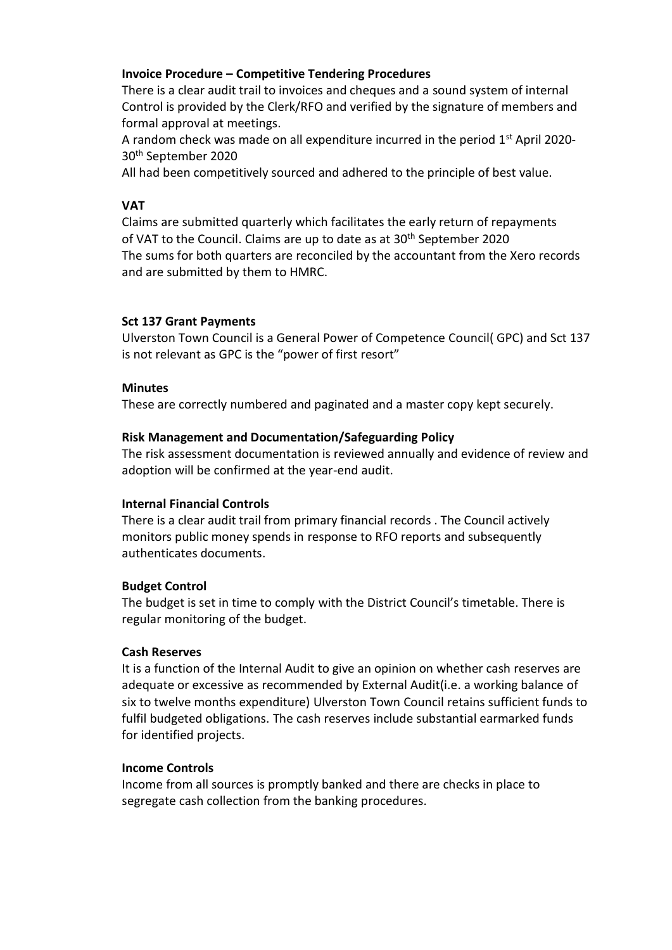# **Invoice Procedure – Competitive Tendering Procedures**

There is a clear audit trail to invoices and cheques and a sound system of internal Control is provided by the Clerk/RFO and verified by the signature of members and formal approval at meetings.

A random check was made on all expenditure incurred in the period 1<sup>st</sup> April 2020-30th September 2020

All had been competitively sourced and adhered to the principle of best value.

## **VAT**

Claims are submitted quarterly which facilitates the early return of repayments of VAT to the Council. Claims are up to date as at 30<sup>th</sup> September 2020 The sums for both quarters are reconciled by the accountant from the Xero records and are submitted by them to HMRC.

## **Sct 137 Grant Payments**

Ulverston Town Council is a General Power of Competence Council( GPC) and Sct 137 is not relevant as GPC is the "power of first resort"

### **Minutes**

These are correctly numbered and paginated and a master copy kept securely.

## **Risk Management and Documentation/Safeguarding Policy**

The risk assessment documentation is reviewed annually and evidence of review and adoption will be confirmed at the year-end audit.

### **Internal Financial Controls**

There is a clear audit trail from primary financial records . The Council actively monitors public money spends in response to RFO reports and subsequently authenticates documents.

### **Budget Control**

The budget is set in time to comply with the District Council's timetable. There is regular monitoring of the budget.

### **Cash Reserves**

It is a function of the Internal Audit to give an opinion on whether cash reserves are adequate or excessive as recommended by External Audit(i.e. a working balance of six to twelve months expenditure) Ulverston Town Council retains sufficient funds to fulfil budgeted obligations. The cash reserves include substantial earmarked funds for identified projects.

### **Income Controls**

Income from all sources is promptly banked and there are checks in place to segregate cash collection from the banking procedures.